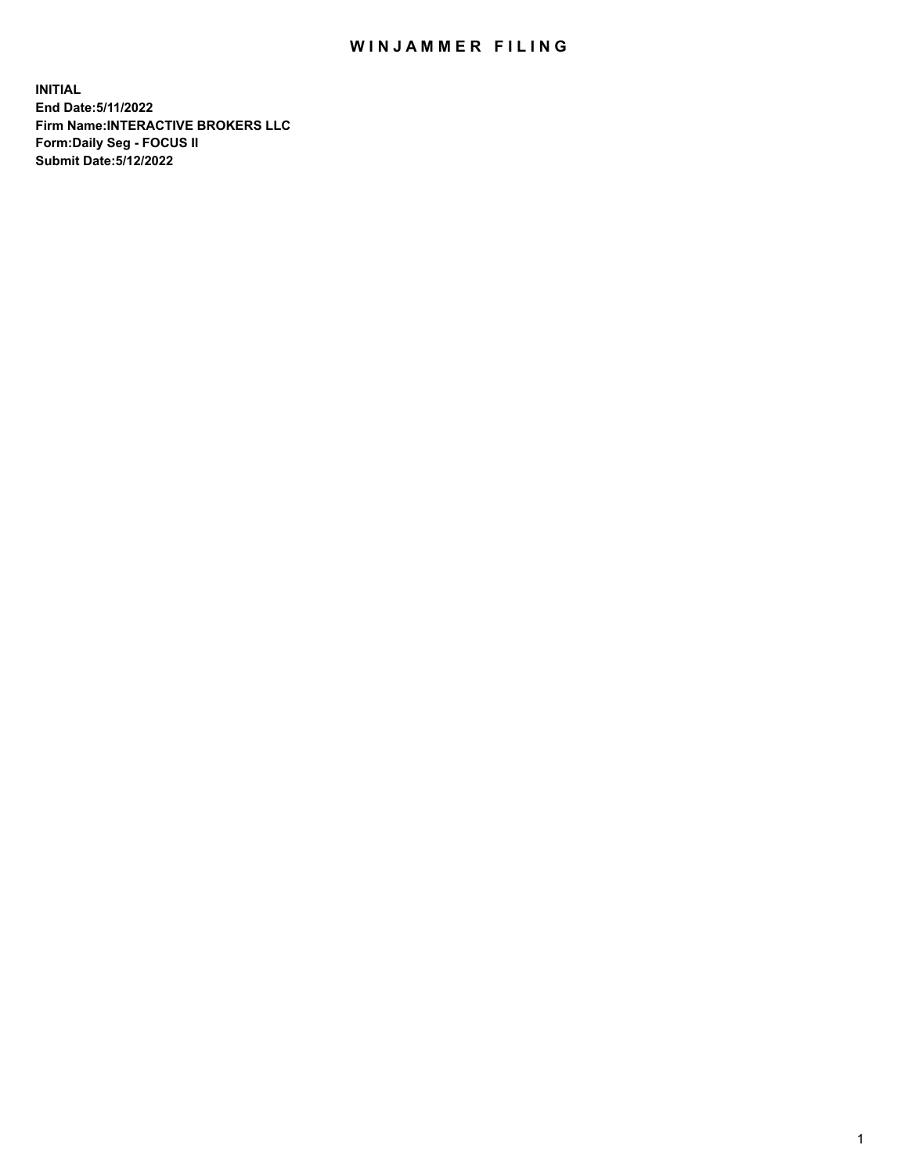## WIN JAMMER FILING

**INITIAL End Date:5/11/2022 Firm Name:INTERACTIVE BROKERS LLC Form:Daily Seg - FOCUS II Submit Date:5/12/2022**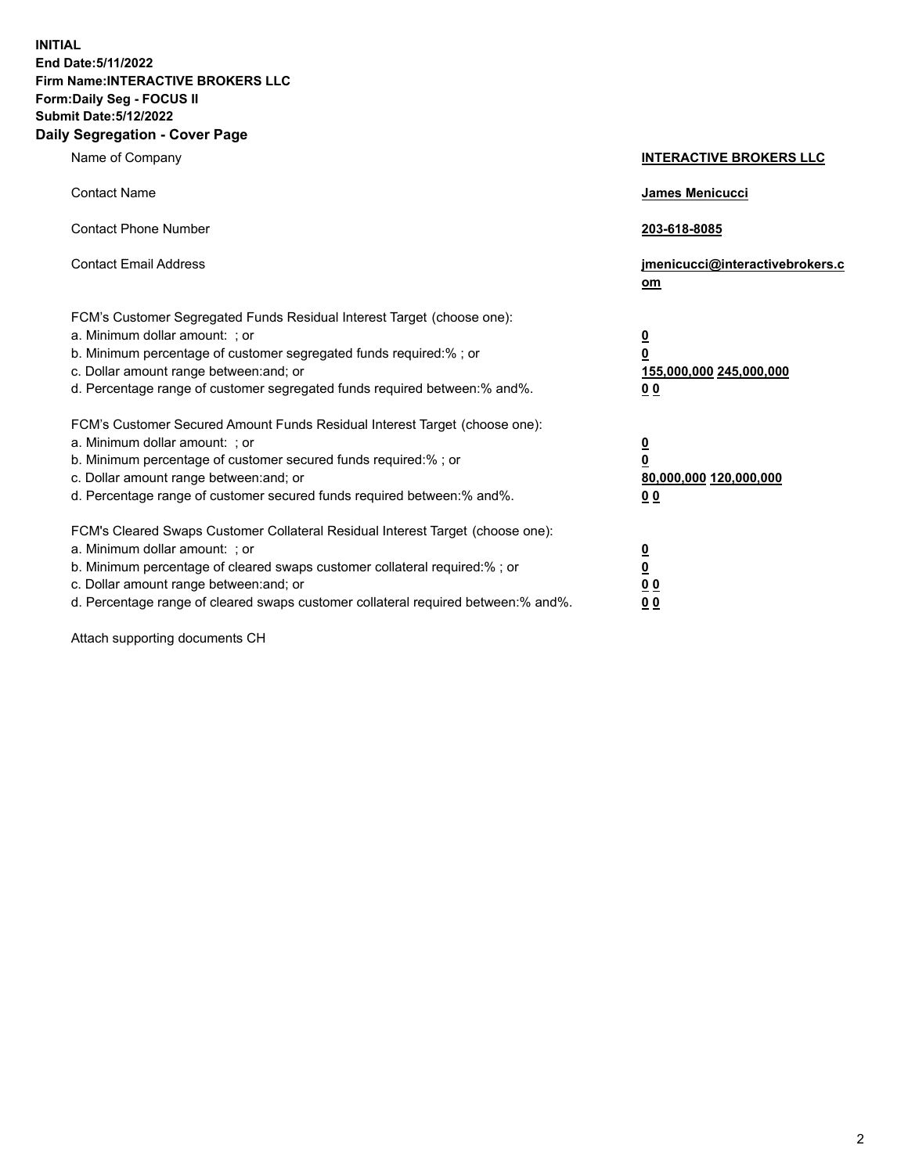**INITIAL End Date:5/11/2022 Firm Name:INTERACTIVE BROKERS LLC Form:Daily Seg - FOCUS II Submit Date:5/12/2022 Daily Segregation - Cover Page**

| Name of Company                                                                                                                                                                                                                                                                                                               | <b>INTERACTIVE BROKERS LLC</b>                                                                  |
|-------------------------------------------------------------------------------------------------------------------------------------------------------------------------------------------------------------------------------------------------------------------------------------------------------------------------------|-------------------------------------------------------------------------------------------------|
| <b>Contact Name</b>                                                                                                                                                                                                                                                                                                           | James Menicucci                                                                                 |
| <b>Contact Phone Number</b>                                                                                                                                                                                                                                                                                                   | 203-618-8085                                                                                    |
| <b>Contact Email Address</b>                                                                                                                                                                                                                                                                                                  | jmenicucci@interactivebrokers.c<br><u>om</u>                                                    |
| FCM's Customer Segregated Funds Residual Interest Target (choose one):<br>a. Minimum dollar amount: ; or<br>b. Minimum percentage of customer segregated funds required:% ; or<br>c. Dollar amount range between: and; or<br>d. Percentage range of customer segregated funds required between:% and%.                        | $\overline{\mathbf{0}}$<br>$\overline{\mathbf{0}}$<br>155,000,000 245,000,000<br>0 <sub>0</sub> |
| FCM's Customer Secured Amount Funds Residual Interest Target (choose one):<br>a. Minimum dollar amount: ; or<br>b. Minimum percentage of customer secured funds required:%; or<br>c. Dollar amount range between: and; or<br>d. Percentage range of customer secured funds required between:% and%.                           | $\overline{\mathbf{0}}$<br>$\overline{\mathbf{0}}$<br>80,000,000 120,000,000<br>0 <sub>0</sub>  |
| FCM's Cleared Swaps Customer Collateral Residual Interest Target (choose one):<br>a. Minimum dollar amount: ; or<br>b. Minimum percentage of cleared swaps customer collateral required:%; or<br>c. Dollar amount range between: and; or<br>d. Percentage range of cleared swaps customer collateral required between:% and%. | $\overline{\mathbf{0}}$<br>$\overline{\mathbf{0}}$<br>0 <sub>0</sub><br>0 <sub>0</sub>          |

Attach supporting documents CH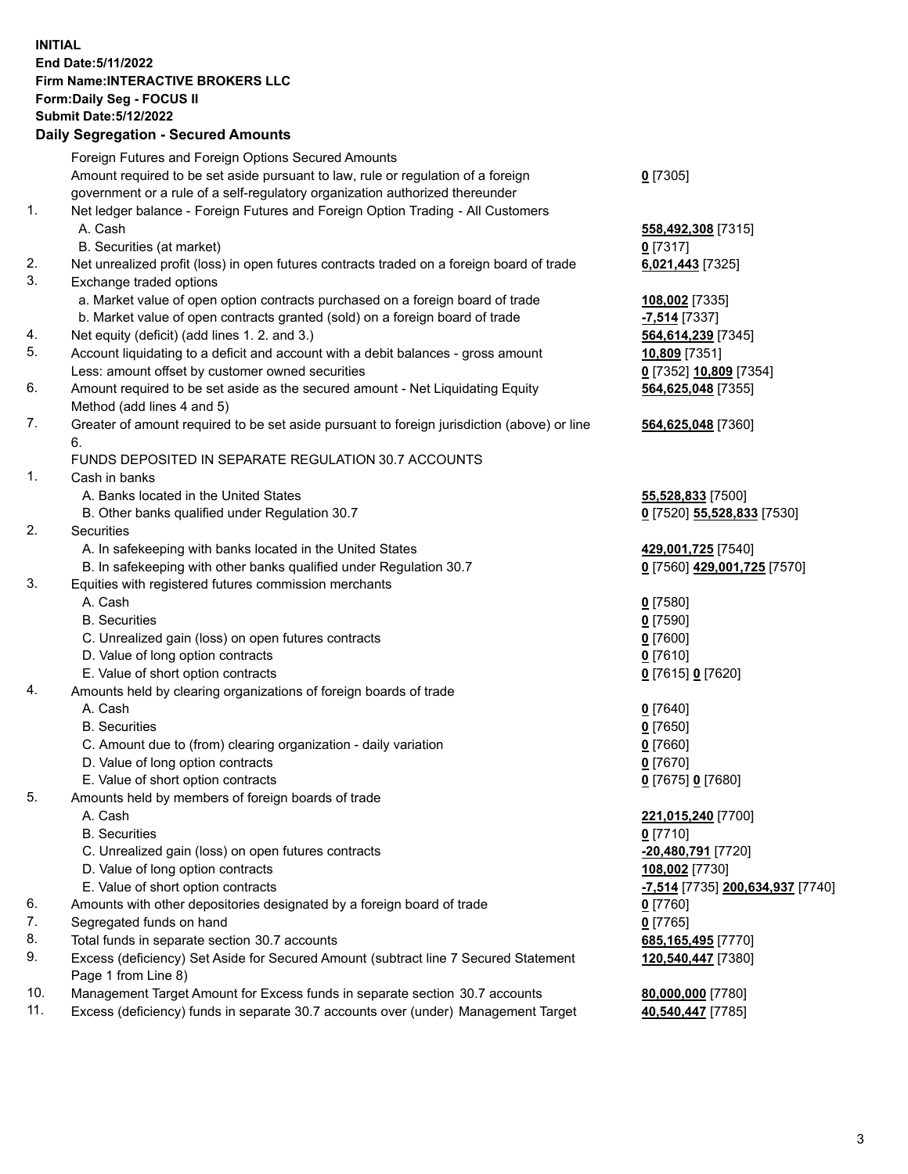## **INITIAL End Date:5/11/2022 Firm Name:INTERACTIVE BROKERS LLC Form:Daily Seg - FOCUS II Submit Date:5/12/2022**

|          | <b>Daily Segregation - Secured Amounts</b>                                                                                         |                                              |
|----------|------------------------------------------------------------------------------------------------------------------------------------|----------------------------------------------|
|          | Foreign Futures and Foreign Options Secured Amounts                                                                                |                                              |
|          | Amount required to be set aside pursuant to law, rule or regulation of a foreign                                                   | $0$ [7305]                                   |
|          | government or a rule of a self-regulatory organization authorized thereunder                                                       |                                              |
| 1.       | Net ledger balance - Foreign Futures and Foreign Option Trading - All Customers                                                    |                                              |
|          | A. Cash                                                                                                                            | 558,492,308 [7315]                           |
|          | B. Securities (at market)                                                                                                          | $0$ [7317]                                   |
| 2.       | Net unrealized profit (loss) in open futures contracts traded on a foreign board of trade                                          | 6,021,443 [7325]                             |
| 3.       | Exchange traded options                                                                                                            |                                              |
|          | a. Market value of open option contracts purchased on a foreign board of trade                                                     | 108,002 [7335]                               |
|          | b. Market value of open contracts granted (sold) on a foreign board of trade                                                       | -7,514 [7337]                                |
| 4.<br>5. | Net equity (deficit) (add lines 1. 2. and 3.)                                                                                      | 564,614,239 [7345]                           |
|          | Account liquidating to a deficit and account with a debit balances - gross amount                                                  | 10,809 [7351]                                |
| 6.       | Less: amount offset by customer owned securities<br>Amount required to be set aside as the secured amount - Net Liquidating Equity | 0 [7352] 10,809 [7354]<br>564,625,048 [7355] |
|          | Method (add lines 4 and 5)                                                                                                         |                                              |
| 7.       | Greater of amount required to be set aside pursuant to foreign jurisdiction (above) or line                                        | 564,625,048 [7360]                           |
|          | 6.                                                                                                                                 |                                              |
|          | FUNDS DEPOSITED IN SEPARATE REGULATION 30.7 ACCOUNTS                                                                               |                                              |
| 1.       | Cash in banks                                                                                                                      |                                              |
|          | A. Banks located in the United States                                                                                              | 55,528,833 [7500]                            |
|          | B. Other banks qualified under Regulation 30.7                                                                                     | 0 [7520] 55,528,833 [7530]                   |
| 2.       | Securities                                                                                                                         |                                              |
|          | A. In safekeeping with banks located in the United States                                                                          | 429,001,725 [7540]                           |
|          | B. In safekeeping with other banks qualified under Regulation 30.7                                                                 | 0 [7560] 429,001,725 [7570]                  |
| 3.       | Equities with registered futures commission merchants                                                                              |                                              |
|          | A. Cash                                                                                                                            | $0$ [7580]                                   |
|          | <b>B.</b> Securities                                                                                                               | $0$ [7590]                                   |
|          | C. Unrealized gain (loss) on open futures contracts                                                                                | $0$ [7600]                                   |
|          | D. Value of long option contracts                                                                                                  | $0$ [7610]                                   |
|          | E. Value of short option contracts                                                                                                 | 0 [7615] 0 [7620]                            |
| 4.       | Amounts held by clearing organizations of foreign boards of trade                                                                  |                                              |
|          | A. Cash                                                                                                                            | $0$ [7640]                                   |
|          | <b>B.</b> Securities                                                                                                               | $0$ [7650]                                   |
|          | C. Amount due to (from) clearing organization - daily variation<br>D. Value of long option contracts                               | $0$ [7660]<br>$0$ [7670]                     |
|          | E. Value of short option contracts                                                                                                 | 0 [7675] 0 [7680]                            |
| 5.       | Amounts held by members of foreign boards of trade                                                                                 |                                              |
|          | A. Cash                                                                                                                            | 221,015,240 [7700]                           |
|          | <b>B.</b> Securities                                                                                                               | $0$ [7710]                                   |
|          | C. Unrealized gain (loss) on open futures contracts                                                                                | -20,480,791 [7720]                           |
|          | D. Value of long option contracts                                                                                                  | 108,002 [7730]                               |
|          | E. Value of short option contracts                                                                                                 | -7,514 [7735] 200,634,937 [7740]             |
| 6.       | Amounts with other depositories designated by a foreign board of trade                                                             | $0$ [7760]                                   |
| 7.       | Segregated funds on hand                                                                                                           | $0$ [7765]                                   |
| 8.       | Total funds in separate section 30.7 accounts                                                                                      | 685,165,495 [7770]                           |
| 9.       | Excess (deficiency) Set Aside for Secured Amount (subtract line 7 Secured Statement                                                | 120,540,447 [7380]                           |
|          | Page 1 from Line 8)                                                                                                                |                                              |
| 10.      | Management Target Amount for Excess funds in separate section 30.7 accounts                                                        | 80,000,000 [7780]                            |
| 11.      | Excess (deficiency) funds in separate 30.7 accounts over (under) Management Target                                                 | 40,540,447 [7785]                            |
|          |                                                                                                                                    |                                              |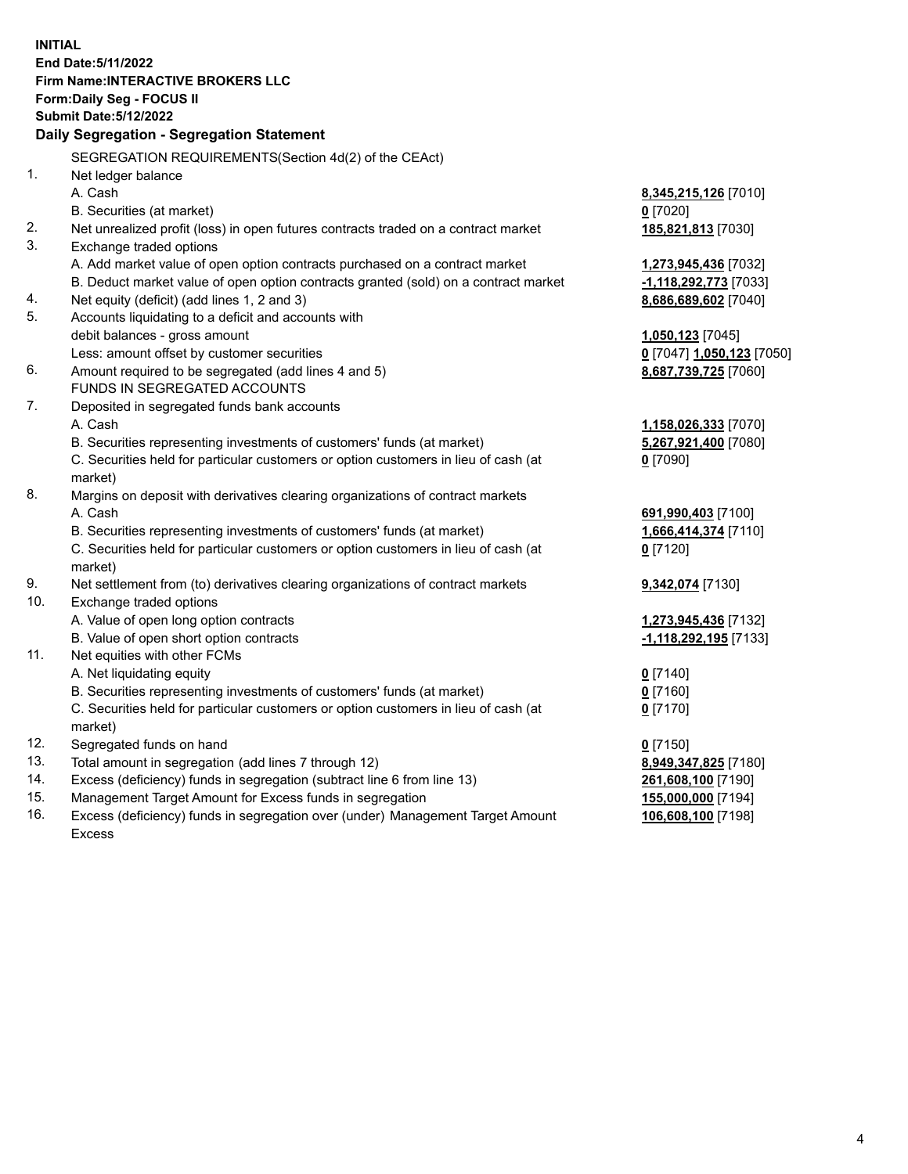**INITIAL End Date:5/11/2022 Firm Name:INTERACTIVE BROKERS LLC Form:Daily Seg - FOCUS II Submit Date:5/12/2022 Daily Segregation - Segregation Statement** SEGREGATION REQUIREMENTS(Section 4d(2) of the CEAct) 1. Net ledger balance A. Cash **8,345,215,126** [7010] B. Securities (at market) **0** [7020] 2. Net unrealized profit (loss) in open futures contracts traded on a contract market **185,821,813** [7030] 3. Exchange traded options A. Add market value of open option contracts purchased on a contract market **1,273,945,436** [7032] B. Deduct market value of open option contracts granted (sold) on a contract market **-1,118,292,773** [7033] 4. Net equity (deficit) (add lines 1, 2 and 3) **8,686,689,602** [7040] 5. Accounts liquidating to a deficit and accounts with debit balances - gross amount **1,050,123** [7045] Less: amount offset by customer securities **0** [7047] **1,050,123** [7050] 6. Amount required to be segregated (add lines 4 and 5) **8,687,739,725** [7060] FUNDS IN SEGREGATED ACCOUNTS 7. Deposited in segregated funds bank accounts A. Cash **1,158,026,333** [7070] B. Securities representing investments of customers' funds (at market) **5,267,921,400** [7080] C. Securities held for particular customers or option customers in lieu of cash (at market) **0** [7090] 8. Margins on deposit with derivatives clearing organizations of contract markets A. Cash **691,990,403** [7100] B. Securities representing investments of customers' funds (at market) **1,666,414,374** [7110] C. Securities held for particular customers or option customers in lieu of cash (at market) **0** [7120] 9. Net settlement from (to) derivatives clearing organizations of contract markets **9,342,074** [7130] 10. Exchange traded options A. Value of open long option contracts **1,273,945,436** [7132] B. Value of open short option contracts **-1,118,292,195** [7133] 11. Net equities with other FCMs A. Net liquidating equity **0** [7140] B. Securities representing investments of customers' funds (at market) **0** [7160] C. Securities held for particular customers or option customers in lieu of cash (at market) **0** [7170] 12. Segregated funds on hand **0** [7150] 13. Total amount in segregation (add lines 7 through 12) **8,949,347,825** [7180] 14. Excess (deficiency) funds in segregation (subtract line 6 from line 13) **261,608,100** [7190] 15. Management Target Amount for Excess funds in segregation **155,000,000** [7194] **106,608,100** [7198]

16. Excess (deficiency) funds in segregation over (under) Management Target Amount Excess